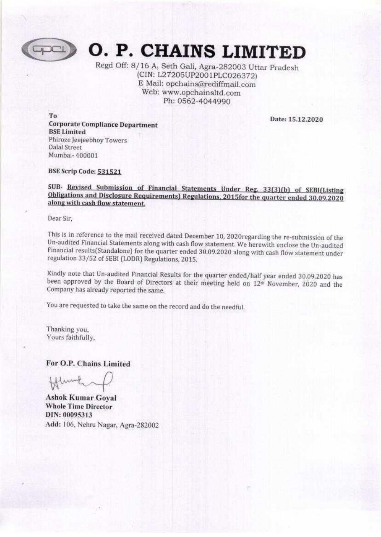

**G. P. CHAINS LIMITED**<br>Regd Off: 8/16 A, Seth Gali, Agra-282003 Uttar Pradesh (CIN: L27205UP2001PLC026372)<br>E Mail: opchains@rediffmail.com<br>Web: www.opchainsltd.com<br>Ph: 0562-4044990 (CIN: L27205UP2001PLC026372)

To Date: 15.12.2020 Corporate Compliance Department BSE Limited Phiroze Jeejeebhoy Towers Dalal Street Mumbai- 400001

BSE Scrip Code: 531521

SUB- Revised Submission of Financial Statements Under Reg. 33(3)(b) of SEBI(Listing Obligations and Disclosure Requirements) Regulations, 2015for the quarter ended 30.09.2020 along with cash flow statement.

Dear Sir,

This is in reference to the mail received dated December 10, 2020 regarding the re-submission of the Un-audited Financial Statements along with cash flow statement. We herewith enclose the Un-audited Financial results (Sta

Kindly note that Un-audited Financial Results for the quarter ended/half year ended 30.09.2020 has<br>been approved by the Board of Directors at their meeting held on 12<sup>th</sup> November, 2020 and the<br>Company has already reported

You are requested to take the same on the record and do the needful,

Thanking you, Yours faithfully,

For O.P. Chains Limited

Un-audited Financial Statements along with cash financial results<br>(Standalone) for the quarter ender<br>regulation 33/52 of SEBI (LODR) Regulations, 2015<br>Kindly note that Un-audited Financial Results for the<br>been approved by Ashok Kumar Goyal Whole Time Director DIN: 00095313 Add: 106, Nehru Nagar, Agra-282002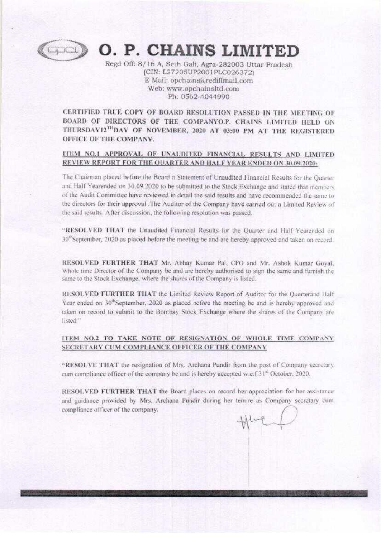

## GO. P. CHAINS LIMITED

Regd Off: 8/16 A, Seth Gali, Agra-282003 Uttar Pradesh (CIN; L27205UP2001PLC026372)<br>E Mail: opchains@rediffmail.com<br>Web: www.opchainsitd.com<br>Ph: 0562-4044990

BOARD OF DIRECTORS OF THE COMPANYO.P. CHAINS LIMITED HELD ON THURSDAY12<sup>™</sup>DAY OF NOVEMBER, 2020 AT 03:00 PM AT THE REGISTERED OFFICE OF THE COMPANY. CERTIFIED TRUE COPY OF BOARD RESOLUTION PASSED IN THE MEETING OF

## **[TEM\_NO.1\_ APPROVAL\_OF\_UNAUDITED\_FINANCIAL\_RESULTS\_AND\_LIMITED**<br>REVIEW REPORT FOR THE QUARTER AND HALF YEAR ENDED ON 30.09.2020:

The Chairman placed before the Board a Statement of Unaudited Financial Results for the Quarter<br>and Half Yearended on 30.09.2020 to be submitted to the Stock Exchange and stated that members<br>of the Audit Committee have rev

"RESOLVED THAT the Unaudited Financial Results for the Quarter and Half Yearended on  $30^{\circ}$ September, 2020 as placed before the meeting be and are hereby approved and taken on record.

RESOLVED FURTHER THAT Mr. Abhay Kumar Pal, CFO and Mr. Ashok Kumar Goyal, Whole time Director of the Company be and are hereby authorised to sign the same and furnish the same to the Stock Exchange, where the shares of the

RESOLVED FURTHER THAT the Limited Review Report of Auditor for the Quarterand Half Year ended on 30<sup>th</sup>September, 2020 as placed before the meeting be and is hereby approved and taken on record to submit to the Bombay Stock Exchange where the shares of the Company are listed."

### ITEM NO.2 TO TAKE NOTE OF RESIGNATION OF WHOLE TIME COMPANY<br>SECRETARY CUM COMPLIANCE OFFICER OF THE COMPANY SECRETARY CUM COMPLIANCE OFFICER OF THE COMPANY

"RESOLVE THAT the resignation of Mrs. Archana Pundir from the post of Company secretary<br>cum compliance officer of the company be and is hereby accepted w.e.f 31<sup>st</sup> October, 2020,

RESOLVED FURTHER THAT the Board places on record her appreciation for her assistance and guidance provided by Mrs. Archana Pundir during her tenure as Company secretary cum compliance officer of the company.<br> $+$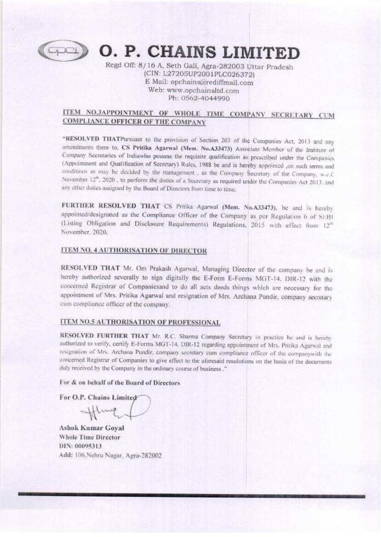

**CODING P. CHAINS LIMITED**<br>Regd Off: 8/16 A, Seth Gali, Agra-282003 Uttar Pradesh<br>(CIN: L27205UP2001PLC026372)<br>E Mail: opchains@rediffmail.com<br>Web: www.opchainsltd.com<br>Ph: 0562-4044990

# **ITEM NO.3APPOINTMENT OF WHOLE TIME COMPANY SECRETARY CUM COMPLIANCE OFFICER OF THE COMPANY**

**"RESOLVED THATPursuant to the provision of Section 203 of the Companies Act, 2013 and any annendments there to, CS Pritika Agarwal (Mem. No.A33473) Associate Member of the Institute of Company Secretaries of Indiawho pos CO. P. CHAINS LIMITEE IS and the control of the search of the search of the search of the search of the control of the search of the search of the search of the search of the search of the search of the search of the sea** 

FURTHER RESOLVED THAT CS Pritika Agarwal (Mem. No.A33473), be and is hereby<br>appointed/designated as the Compliance Officer of the Company as per Regulation 6 of SEB<br>(Listing Obligation and Disclosure Requirements) Regulati appointed/designated as the Compliance Officer of the Company as per Regulation 6 of SEB1 (Listing Obligation and Disclosure Requirements) Regulations, 2015 with effect from 12<sup>th</sup> November, 2020.

#### **ITEM NO. 4 AUTHORISATION OF DIRECTOR**

RESOLVED THAT Mr. Om Prakash Agarwal, Managing Director of the company be and is<br>breefor authorized severally to sign digitally the E-form E-forms MGT-14. DIR-12 with the<br>concerned Registrar of Companissand to do all areas hereby authorized severally to sign digitally the E-Form E-Forms MGT-14, DIR-12 with the<br>concerned Registrar of Companiesand to do all acts deeds things which are necessary for the appointment of Mrs. Pritika Agarwal and resignation of Mrs. Archana Pundir, company secretary

#### ITEM NO.5 AUTHORISATION OF PROFESSIONAL

RESOLVED FURTHER THAT Mr. R.C. Sharma Company Secretary in practice be and is hereby **RESOLVED FURTHER THAT** Mr. R.C. Sharma Company Secretary in practice be and is hereby<br>authorized to verify, certify E-Forms MGT-14. DIR-12 regarding appointment of Mrs. Pritika Agarwal and<br>resignation of Mrs. Archana Pund . . .

#### For & on behalf of the Board of Directors

For O.P. Chains Limit

Hlung

 For & on behalf of the Boar<br>For O.P. Chains Limited<br>
<br>
Ashok Kumar Goyal<br>
Whole Time Director<br>
DIN: 00095313<br>
Add: 106, Nehru Nagar, Agra<br>
Agra Ashok Kumar Goyal<br>Whole Time Director<br>DIN: 00095313 Add: 106, Nehru Nagar, Agra-282002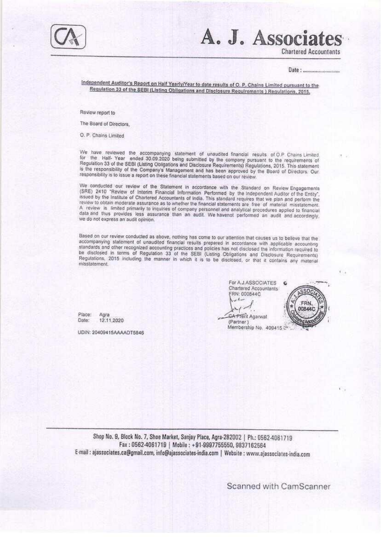

# A. J. Associat

**Chartered Accountants** 

Independent Auditor's Report on Half Yearly/Year to date results of O. P. Chains Limited pursuant to the Regulation 33 of the SEBI (Listing Obligations and Disclosure Regulrements ) Regulations, 2015.

Review report to

The Board of Directors.

O. P. Chains Limited

We have reviewed the accompanying statement of unaudited financial results of O.P Chains Limited<br>for the Half-Year ended 30.09.2020 being submitted by the company pursuant to the requirements of Regulation 33 of the SEBI (Listing Obligations and Disclosure Requirements) Regulations, 2015. This statement is the responsibility of the Company's Management and has been approved by the Board of Directors. Our responsibility is to issue a report on these financial statements based on our review.

We conducted our review of the Statement in accordance with the Standard on Review Engagements (SRE) 2410 "Review of Interim Financial Information Performed by the Independent Auditor of the Entity", issued by the Institute of Chartered Accountants of India. This standard requires that we plan and perform the review to obtain moderate assurance as to whether the financial statements are free of material misstatement. A review is limited primarily to inquiries of company personnel and analytical procedures applied to financial<br>data and thus provides less assurance than an audit. We havenot performed an audit and accordingly, we do not express an audit opinion.

Based on our review conducted as above, nothing has come to our attention that causes us to believe that the accompanying statement of unaudited financial results prepared in accordance with applicable accounting standards and other recognized accounting practices and policies has not disclosed the information required to be disclosed in terms of Regulation 33 of the SEBI (Listing Obligations and Disclosure Requirements) Regulations, 2015 including the manner in which it is to be disclosed, or that it contains any material misstatement

Place: Agra 12.11.2020 Date:

UDIN: 20409415AAAADT5846

For A.J.ASSOCIATES Chartered Accountants FRN: 000844C CA PTerit Agarwal (Partner) Membership No. 409415 3



Shop No. 9, Block No. 7, Shoe Market, Sanjay Place, Agra-282002 | Ph.: 0562-4061719 Fax: 0562-4061719 | Mobile: +91-9997755550, 9837162564 E-mail : ajassociates.ca@gmail.com, info@ajassociates-india.com | Website : www.ajassociates-india.com

Scanned with CamScanner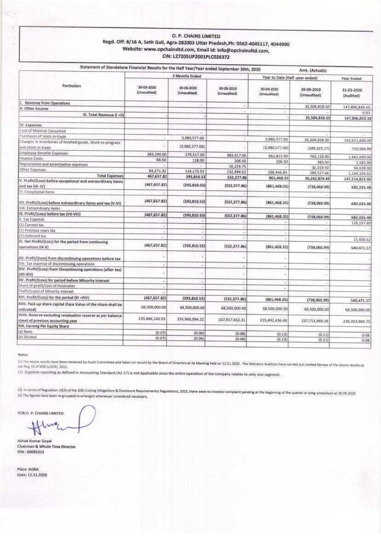#### O. P. CHAINS LIMITED Regd. Off: 8/16 A, Seth Gall, Agra-282003 Uttar Pradesh, Ph: 0562-4045117, 4044990 Website: www.opchainsitd.com, Email Id: info@opchainsitd.com, CIN: L27205UP2001PLC026372

| Statement of Standalone Financial Results for the Half Year/Year ended September 30th, 2020      |                           |                           |                           |                                              | Amt. (Actuals)            |                             |
|--------------------------------------------------------------------------------------------------|---------------------------|---------------------------|---------------------------|----------------------------------------------|---------------------------|-----------------------------|
|                                                                                                  | 3 Manths Ended            |                           |                           | Year to Date (Half-year ended)<br>Year Ended |                           |                             |
| Particulars                                                                                      | 30-09-2020<br>(Unaudited) | 30-06-2020<br>(Unaudited) | 30-09-2019<br>(Unaudited) | 30-09-2020<br>(Unaudited)                    | 30-09-2019<br>(Unaudited) | 31-03-2020<br>(Audited)     |
| Revenue from Operations                                                                          |                           | ÷                         | ä                         | v                                            | 35,504,818.50             |                             |
| Other Income                                                                                     |                           |                           | ¥                         | ٠                                            |                           | 147,896,849.45              |
| III. Total Revenue (I +II)                                                                       |                           |                           |                           |                                              | 35,504,818.50             | 9.93<br>147,896,859,38      |
| IV. Expenses                                                                                     |                           |                           |                           |                                              |                           |                             |
| Cost of Material Consumed                                                                        |                           |                           |                           |                                              |                           |                             |
| Purchases of Stock-in-trade                                                                      |                           |                           |                           |                                              |                           |                             |
|                                                                                                  |                           | 3,980,577.00              |                           | 3,980,577.00                                 | 35,504,858.00             | 143,611,660.00              |
| Changes in inventories of finished goods, Work-in-progress<br>and stock-in-trade                 |                           | (3,980,577.00)            |                           | (3,980,577,00)                               | (349, 325.17)             | 710,584.99                  |
| Employee Benefits Expenses                                                                       | 383,298.00                | 279,517.00                | 383,517.00                | 662.815.00                                   | 765,116.00                | 1,662,649.00                |
| Finance Costs                                                                                    | 88.50                     | 118.00                    | 206.50                    | 206.SO                                       | 383.50                    |                             |
| Depreciation and amortisation expenses                                                           |                           |                           | 16,159.75                 |                                              | 32,319.50                 | 1,185,90<br>64,639.00       |
| Other Expenses                                                                                   | 84,271.32                 | 114,175.53                | 132,494.61                | 198,446.85                                   | 289,527.66                | 1,164,105.01                |
| <b>Total Expenses</b>                                                                            | 467,657.82                | 393,810.53                | 532,377.86                | 861,468.35                                   | 36,242,879.49             | 147,214,823.90              |
| V. Profit/(Loss) before exceptional and extraordinary items<br>and tax (III-IV)                  | (467, 657, 82)            | (393,810.53)              | (532, 377.86)             | (861, 468.35)                                | (738,060.99)              | 682,035.48                  |
| VI Exceptional items                                                                             |                           |                           |                           |                                              |                           |                             |
| VII. Profit/(Loss) before extraordinary items and tax (V-VI)                                     | (467, 657.82)             | (393, 810.53)             | (532, 377.86)             | (861, 468.35)                                | (738,060.99)              | 682,035.48                  |
| VIII. Extraordinary items                                                                        |                           |                           |                           |                                              |                           |                             |
| IX. Profit/(Loss) before tax (VII-VIII)                                                          | (467, 657, 82)            | (393, 810, 53)            | (532, 377, 86)            | (861, 468, 35)                               | (738,060.99)              |                             |
| X. Tax Expense                                                                                   |                           |                           |                           | ÷                                            |                           | 682,035.48                  |
| [1] Current tax                                                                                  |                           |                           |                           | ×                                            |                           | 126.157.69                  |
| [2] Previous years tax                                                                           |                           |                           | ٠                         |                                              |                           |                             |
| [2] Deterred tax                                                                                 | r.                        |                           |                           |                                              |                           | 15,406.62                   |
| XI. Net Profit/(Loss) for the period from continuing<br>operations (IX-X)                        | (467, 657, 82)            | (393, 810.53)             | (532, 377.86)             | (861, 468.35)                                | (738, 060.99)             | 540,471.17                  |
| XII. Profit/(Loss) from discontinuing operations before tax                                      |                           |                           |                           |                                              |                           |                             |
| XIII. Tax expense of discontinuing operations                                                    |                           |                           |                           | c                                            |                           |                             |
| XIV. Profit/(Loss) from Discontinuing operations (after tax)<br>$(XII-XIII)$                     |                           |                           |                           |                                              |                           |                             |
| XV. Profit/(Loss) for period before Minority interest                                            | z                         | -                         |                           | $\overline{\phantom{a}}$                     |                           |                             |
| Share of profit/Loss of Associates                                                               |                           |                           |                           | ÷                                            |                           |                             |
| Profit/(Loss) of Minority interest                                                               |                           |                           |                           |                                              |                           |                             |
| XVI. Profit/(Loss) for the period (XI +XIV)                                                      | (467, 657.82)             | (393, 810.53)             | (532, 377.86)             | (861, 468.35)                                | (738,060.99)              |                             |
| XVII. Paid-up share capital (Face Value of the share shall be<br>indicated)                      | 68,500,000,00             | 68,500,000.00             | 68,500,000.00             | 68,500,000.00                                | 68,500,000.00             | 540,471.17<br>68,500,000.00 |
| XVIII. Reserve excluding revaluation reserve as per balance<br>sheet of previous accounting year | 235,886,246.93            | 235,960,094.22            | 237,917,652.31            | 235,492,436.40                               | 237,711,969.18            | 236,353,904.75              |
| XIX. Earning Per Equity Share                                                                    |                           |                           |                           |                                              |                           |                             |
| a) Basic                                                                                         | (0.07)                    | (0.06)                    | (0.08)                    |                                              |                           |                             |
| b) Deluted                                                                                       | (0.07)                    | (0.06)                    | (0.08)                    | (0.13)<br>(0.13)                             | (0.11)<br>(0.11)          | 0.08<br>0.08                |

Notes

(1) The above results have been reviewed by Audit Committee and taken on record by the Board of Directors at its Meeting held on 12.11.2020 . The Statutory Auditors have canted out Limited Review of the above results as per Reg 33 of SEBI (LODR), 2015.

(2) Segment reporting as defined in Accounting Standard (AS-17) is not applicable since the entire operation of the company relates to only one segment.

(3) In terms of Regulation 13(3) of the SEB (Listing Obligations & Oisclosure Requirements) Regulations, 2015, there were no investor complaint pending at the beginning of the quarter or lying unresolved at 30,09.2020 (4) The figures have been re-grouped/re-arranged whereever considered necessary.

FOR O. P. CHAINS LIMITED

H

Ashok Kumar Goyal Chairman & Whole Time Director DHN: 00095313

Place AGRA Date: 12.11.2020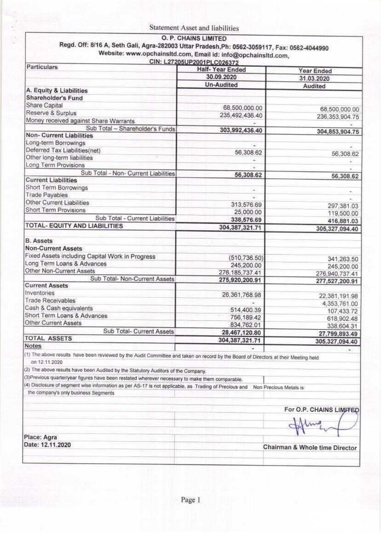|                                                                                                                                               | Statement Asset and liabilities                      |                                    |
|-----------------------------------------------------------------------------------------------------------------------------------------------|------------------------------------------------------|------------------------------------|
| Regd. Off: 8/16 A, Seth Gali, Agra-282003 Uttar Pradesh, Ph: 0562-3059117, Fax: 0562-4044990                                                  | O. P. CHAINS LIMITED                                 |                                    |
| Website: www.opchainsitd.com, Email id: info@opchainsitd.com,                                                                                 |                                                      |                                    |
| <b>Particulars</b>                                                                                                                            | CIN: L27205UP2001PLC026372<br><b>Half-Year Ended</b> | <b>Year Ended</b>                  |
|                                                                                                                                               | 30.09.2020                                           | 31.03.2020                         |
| A. Equity & Liabilities                                                                                                                       | <b>Un-Audited</b>                                    | Audited                            |
| Shareholder's Fund<br>Share Capital                                                                                                           |                                                      |                                    |
| Reserve & Surplus                                                                                                                             | 68,500,000.00<br>235,492,436.40                      | 68,500,000.00<br>236, 353, 904. 75 |
| Money received against Share Warrants<br>Sub Total - Shareholder's Funds                                                                      | 303,992,436.40                                       |                                    |
| <b>Non-Current Liabilities</b>                                                                                                                |                                                      | 304,853,904.75                     |
| Long-term Borrowings<br>Deferred Tax Liabilities(net)                                                                                         | ÷<br>56,308.62                                       |                                    |
| Other long-term liabilities<br>Long Term Provisions                                                                                           | ÷                                                    | 56,308.62                          |
| Sub Total - Non- Current Liabilities                                                                                                          | 56,308.62                                            | 56,308.62                          |
| <b>Current Liabilities</b><br>Short Term Borrowings                                                                                           |                                                      |                                    |
| <b>Trade Payables</b>                                                                                                                         | $\overline{\phantom{a}}$                             |                                    |
| Other Current Liabilities<br>Short Term Provisions                                                                                            | 313,576.69                                           | 297,381.03                         |
| Sub Total - Current Liabilities                                                                                                               | 25,000.00<br>338,576.69                              | 119,500.00<br>416,881.03           |
| TOTAL- EQUITY AND LIABILITIES                                                                                                                 | 304, 387, 321.71                                     | 305,327,094.40                     |
| <b>B.</b> Assets                                                                                                                              |                                                      |                                    |
| <b>Non-Current Assets</b><br>Fixed Assets including Capital Work in Progress                                                                  | (510, 736.50)                                        |                                    |
| Long Term Loans & Advances                                                                                                                    | 245,200.00                                           | 341,263.50<br>245,200.00           |
| Other Non-Current Assets<br>Sub Total- Non-Current Assets                                                                                     | 276, 185, 737.41<br>275,920,200.91                   | 276,940,737.41                     |
| <b>Current Assets</b><br>Inventories                                                                                                          |                                                      | 277,527,200.91                     |
| <b>Trade Receivables</b>                                                                                                                      | 26, 361, 768.98                                      | 22,381,191.98<br>4,353,761.00      |
| Cash & Cash equivalents<br>Short Term Loans & Advances                                                                                        | 514,400.39                                           | 107,433.72                         |
| <b>Other Current Assets</b>                                                                                                                   | 756,189.42<br>834,762.01                             | 618,902.48<br>338,604.31           |
| Sub Total- Current Assets<br><b>TOTAL ASSETS</b>                                                                                              | 28,467,120.80                                        | 27,799,893.49                      |
| Notes                                                                                                                                         | 304,387,321.71                                       | 305,327,094.40<br>۰                |
| (1) The above results have been reviewed by the Audit Committee and taken on record by the Board of Directors at their Meeting held           |                                                      |                                    |
| on 12.11.2020<br>(2) The above results have been Audited by the Statutory Auditors of the Company.                                            |                                                      |                                    |
| (3) Previous quarter/year figures have been restated wherever necessary to make them comparable.                                              |                                                      |                                    |
| (4) Disclosure of segment wise information as per AS-17 is not applicable, as Trading of Precious and<br>the company's only business Segments |                                                      | Non Precious Metals is             |
|                                                                                                                                               |                                                      |                                    |
|                                                                                                                                               |                                                      | For O.P. CHAINS LIMITED            |
|                                                                                                                                               |                                                      |                                    |
| Place: Agra                                                                                                                                   |                                                      |                                    |
| Date: 12.11.2020                                                                                                                              |                                                      | Chairman & Whole time Director     |
|                                                                                                                                               |                                                      |                                    |
|                                                                                                                                               |                                                      |                                    |